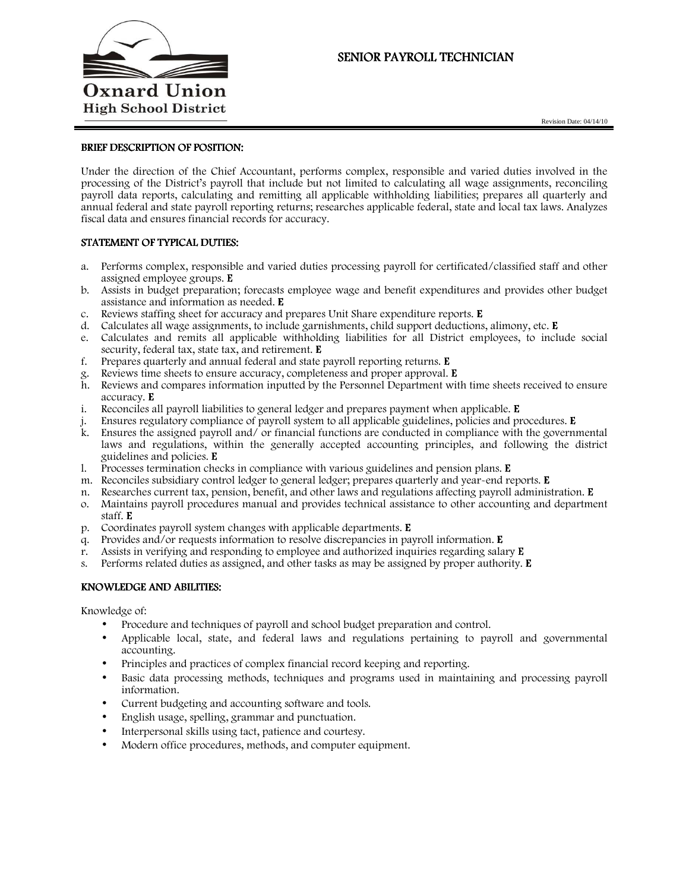

# SENIOR PAYROLL TECHNICIAN

Revision Date: 04/14/10

### BRIEF DESCRIPTION OF POSITION:

Under the direction of the Chief Accountant, performs complex, responsible and varied duties involved in the processing of the District's payroll that include but not limited to calculating all wage assignments, reconciling payroll data reports, calculating and remitting all applicable withholding liabilities; prepares all quarterly and annual federal and state payroll reporting returns; researches applicable federal, state and local tax laws. Analyzes fiscal data and ensures financial records for accuracy.

## STATEMENT OF TYPICAL DUTIES:

- a. Performs complex, responsible and varied duties processing payroll for certificated/classified staff and other assigned employee groups. E
- b. Assists in budget preparation; forecasts employee wage and benefit expenditures and provides other budget assistance and information as needed. E
- c. Reviews staffing sheet for accuracy and prepares Unit Share expenditure reports.E
- d. Calculates all wage assignments, to include garnishments, child support deductions, alimony, etc. E
- e. Calculates and remits all applicable withholding liabilities for all District employees, to include social security, federal tax, state tax, and retirement. **E**
- f. Prepares quarterly and annual federal and state payroll reporting returns. E
- g. Reviews time sheets to ensure accuracy, completeness and proper approval. E
- h. Reviews and compares information inputted by the Personnel Department with time sheets received to ensure accuracy. E
- i. Reconciles all payroll liabilities to general ledger and prepares payment when applicable. E
- j. Ensures regulatory compliance of payroll system to all applicable guidelines, policies and procedures. E
- k. Ensures the assigned payroll and/ or financial functions are conducted in compliance with the governmental laws and regulations, within the generally accepted accounting principles, and following the district guidelines and policies. E
- l. Processes termination checks in compliance with various guidelines and pension plans. E
- m. Reconciles subsidiary control ledger to general ledger; prepares quarterly and year-end reports. E
- n. Researches current tax, pension, benefit, and other laws and regulations affecting payroll administration. E
- o. Maintains payroll procedures manual and provides technical assistance to other accounting and department staff.E
- p. Coordinates payroll system changes with applicable departments. E
- q. Provides and/or requests information to resolve discrepancies in payroll information.  $E$
- r. Assists in verifying and responding to employee and authorized inquiries regarding salary  $E$
- s. Performs related duties as assigned, and other tasks as may be assigned by proper authority.  $E$

## KNOWLEDGE AND ABILITIES:

Knowledge of:

- Procedure and techniques of payroll and school budget preparation and control.
- Applicable local, state, and federal laws and regulations pertaining to payroll and governmental accounting.
- Principles and practices of complex financial record keeping and reporting.
- Basic data processing methods, techniques and programs used in maintaining and processing payroll information.
- Current budgeting and accounting software and tools.
- English usage, spelling, grammar and punctuation.
- Interpersonal skills using tact, patience and courtesy.
- Modern office procedures, methods, and computer equipment.